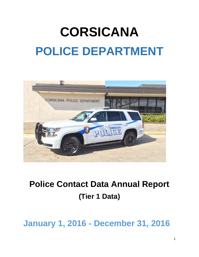# **CORSICANA POLICE DEPARTMENT**



# **Police Contact Data Annual Report (Tier 1 Data)**

# **January 1, 2016 - December 31, 2016**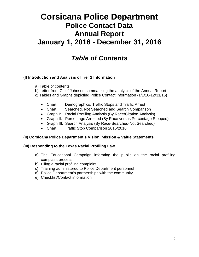# **Corsicana Police Department Police Contact Data Annual Report January 1, 2016 - December 31, 2016**

# *Table of Contents*

#### **(I) Introduction and Analysis of Tier 1 Information**

- a) Table of contents
- b) Letter from Chief Johnson summarizing the analysis of the Annual Report
- c) Tables and Graphs depicting Police Contact Information (1/1/16-12/31/16)
	- Chart I: Demographics, Traffic Stops and Traffic Arrest
	- Chart II: Searched, Not Searched and Search Comparison
	- Graph I: Racial Profiling Analysis (By Race/Citation Analysis)
	- Graph II: Percentage Arrested (By Race versus Percentage Stopped)
	- Graph III: Search Analysis (By Race-Searched-Not Searched)
	- Chart III: Traffic Stop Comparison 2015/2016

#### **(II) Corsicana Police Department's Vision, Mission & Value Statements**

#### **(III) Responding to the Texas Racial Profiling Law**

- a) The Educational Campaign informing the public on the racial profiling complaint process
- b) Filing a racial profiling complaint
- c) Training administered to Police Department personnel
- d) Police Department's partnerships with the community
- e) Checklist/Contact information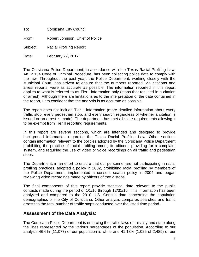To: Corsicana City Council

From: Robert Johnson, Chief of Police

Subject: Racial Profiling Report

Date: February 27, 2017

The Corsicana Police Department, in accordance with the Texas Racial Profiling Law, Art. 2.134 Code of Criminal Procedure, has been collecting police data to comply with the law. Throughout the past year, the Police Department, working closely with the Municipal Court, has striven to ensure that the numbers reported, via citations and arrest reports, were as accurate as possible. The information reported in this report applies to what is referred to as Tier I information only (stops that resulted in a citation or arrest). Although there are limitations as to the interpretation of the data contained in the report, I am confident that the analysis is as accurate as possible.

The report does not include Tier II information (more detailed information about every traffic stop, every pedestrian stop, and every search regardless of whether a citation is issued or an arrest is made). The department has met all state requirements allowing it to be exempt from Tier II reporting requirements.

In this report are several sections, which are intended and designed to provide background information regarding the Texas Racial Profiling Law. Other sections contain information relevant to the policies adopted by the Corsicana Police Department prohibiting the practice of racial profiling among its officers, providing for a complaint system, and requiring the use of video or voice recordings on all traffic and pedestrian stops.

The Department, in an effort to ensure that our personnel are not participating in racial profiling practices, adopted a policy in 2002, prohibiting racial profiling by members of the Police Department, implemented a consent search policy in 2004 and began reviewing video recordings made by officers of traffic stops.

The final components of this report provide statistical data relevant to the public contacts made during the period of 1/1/16 through 12/31/16. This information has been analyzed and compared to the 2010 U.S. Census data concerning the population demographics of the City of Corsicana. Other analysis compares searches and traffic arrests to the total number of traffic stops conducted over the listed time period.

#### **Assessment of the Data Analysis**:

The Corsicana Police Department is enforcing the traffic laws of this city and state along the lines represented by the various percentages of the population. According to our analysis 46.6% (11,077) of our population is white and 41.18% (1,025 of 2,489) of our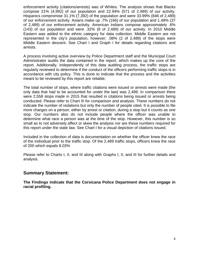enforcement activity (citations/arrests) was of Whites. The analysis shows that Blacks compose 21% (4,992) of our population and 22.94% (571 of 2,489) of our activity. Hispanics compromise 31.1% (7,392) of the population and were 33.99% (846 of 2,489) of our enforcement activity. Asians make up .7% (166) of our population and 1.48% (37 of 2,489) of our enforcement activity. American Indians compose approximately .6% (143) of our population and were .32% (8 of 2,489) of our activity. In 2010 Middle Eastern was added to the ethnic category for data collection. Middle Eastern are not represented in the city's population, however; .08% (2 of 2,489) of the stops were Middle Eastern descent. See Chart I and Graph I for details regarding citations and arrests.

A process involving active overview by Police Department staff and the Municipal Court Administrator audits the data contained in the report, which makes up the core of the report. Additionally, independently of this data auditing process, the traffic stops are regularly reviewed to determine if the conduct of the officers performing traffic stops is in accordance with city policy. This is done to indicate that the process and the activities meant to be reviewed by this report are reliable.

The total number of stops, where traffic citations were issued or arrests were made (the only data that had to be accounted for under the law) was 2,489. In comparison there were 2,558 stops made in 2015 that resulted in citations being issued or arrests being conducted. Please refer to Chart III for comparison and analysis. These numbers do not indicate the number of violations but only the number of people cited. It is possible to file more charges on a person, either by arrest or citation, during a stop but it counts as one stop. Our numbers also do not include people where the officer was unable to determine what race a person was at the time of the stop. However, this number is so small as to not adversely affect or skew the analysis nor are these numbers required for this report under the state law. See Chart I for a visual depiction of citations issued.

Included in the collection of data is documentation on whether the officer knew the race of the individual prior to the traffic stop. Of the 2,489 traffic stops, officers knew the race of 200 which equals 8.03%

Please refer to Charts I, II, and III along with Graphs I, II, and III for further details and analysis.

#### **Summary Statement:**

**The Findings indicate that the Corsicana Police Department does not engage in racial profiling.**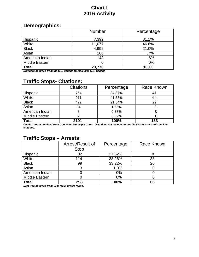# **Chart I 2016 Activity**

# **Demographics:**

|                       | <b>Number</b> | Percentage |
|-----------------------|---------------|------------|
| Hispanic              | 7,392         | 31.1%      |
| White                 | 11,077        | 46.6%      |
| <b>Black</b>          | 4,992         | 21.0%      |
| Asian                 | 166           | $.7\%$     |
| American Indian       | 143           | .6%        |
| <b>Middle Eastern</b> |               | $0\%$      |
| <b>Total</b>          | 23,770        | 100%       |

*Numbers obtained from the U.S. Census Bureau 2010 U.S. Census*

# **Traffic Stops- Citations:**

|                 | <b>Citations</b> | Percentage | Race Known |
|-----------------|------------------|------------|------------|
| Hispanic        | 764              | 34.87%     |            |
| White           | 911              | 41.58%     | 64         |
| <b>Black</b>    | 472              | 21.54%     | 27         |
| Asian           | 34               | 1.55%      |            |
| American Indian |                  | 0.37%      |            |
| Middle Eastern  |                  | 0.09%      |            |
| <b>Total</b>    | 2191             | 100%       | 133        |

*Citation count obtained from Corsicana Municipal Court. Data does not include non-traffic citations or traffic accident citations.*

# **Traffic Stops – Arrests:**

|                 | Arrest/Result of | Percentage | Race Known |
|-----------------|------------------|------------|------------|
|                 | <b>Stop</b>      |            |            |
| Hispanic        | 82               | 27.52%     |            |
| White           | 114              | 38.26%     | 38         |
| <b>Black</b>    | 99               | 33.22%     | 20         |
| Asian           |                  | 1.0%       |            |
| American Indian |                  | $0\%$      |            |
| Middle Eastern  |                  | 0%         |            |
| <b>Total</b>    | 298              | 100%       | 66         |

*Data was obtained from CPD racial profile forms.*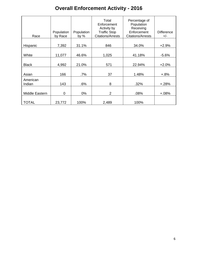# **Overall Enforcement Activity - 2016**

|                    | Population | Population | Total<br>Enforcement<br>Activity by<br><b>Traffic Stop</b> | Percentage of<br>Population<br>Receiving<br>Enforcement | <b>Difference</b> |
|--------------------|------------|------------|------------------------------------------------------------|---------------------------------------------------------|-------------------|
| Race               | by Race    | by $%$     | <b>Citations/Arrests</b>                                   | <b>Citations/Arrests</b>                                | $+/-$             |
| Hispanic           | 7,392      | 31.1%      | 846                                                        | 34.0%                                                   | $+2.9%$           |
| White              | 11,077     | 46.6%      | 1,025                                                      | 41.18%                                                  | $-5.6%$           |
| <b>Black</b>       | 4,992      | 21.0%      | 571                                                        | 22.94%                                                  | $+2.0%$           |
| Asian              | 166        | $.7\%$     | 37                                                         | 1.48%                                                   | $+.8%$            |
| American<br>Indian | 143        | .6%        | 8                                                          | .32%                                                    | $+.28%$           |
| Middle Eastern     | 0          | $0\%$      | $\overline{2}$                                             | .08%                                                    | $+.08%$           |
| <b>TOTAL</b>       | 23,772     | 100%       | 2,489                                                      | 100%                                                    |                   |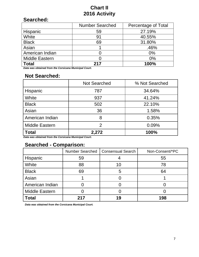# **Chart II 2016 Activity**

# **Searched:**

|                       | <b>Number Searched</b> | Percentage of Total |
|-----------------------|------------------------|---------------------|
| <b>Hispanic</b>       | 59                     | 27.19%              |
| White                 | 91                     | 40.55%              |
| <b>Black</b>          | 69                     | 31.80%              |
| Asian                 |                        | .46%                |
| American Indian       |                        | $0\%$               |
| <b>Middle Eastern</b> |                        | $0\%$               |
| <b>Total</b>          | 217                    | 100%                |

*Data was obtained from the Corsicana Municipal Court.*

# **Not Searched:**

|                 | <b>Not Searched</b> | % Not Searched |
|-----------------|---------------------|----------------|
| Hispanic        | 787                 | 34.64%         |
| White           | 937                 | 41.24%         |
| <b>Black</b>    | 502                 | 22.10%         |
| Asian           | 36                  | 1.58%          |
| American Indian | 8                   | 0.35%          |
| Middle Eastern  | 2                   | 0.09%          |
| <b>Total</b>    | 2,272               | 100%           |

*Data was obtained from the Corsicana Municipal Court.*

# **Searched - Comparison:**

|                 | <b>Number Searched</b> | <b>Consensual Search</b> | Non-Consent/*PC |
|-----------------|------------------------|--------------------------|-----------------|
| Hispanic        | 59                     |                          | 55              |
| White           | 88                     | 10                       | 78              |
| <b>Black</b>    | 69                     | 5                        | 64              |
| Asian           |                        |                          |                 |
| American Indian |                        |                          |                 |
| Middle Eastern  |                        |                          |                 |
| <b>Total</b>    | 217                    | 19                       | 198             |

*Data was obtained from the Corsicana Municipal Court.*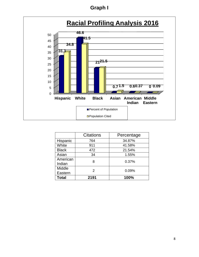# **Graph I**



|              | <b>Citations</b> | Percentage |
|--------------|------------------|------------|
| Hispanic     | 764              | 34.87%     |
| White        | 911              | 41.58%     |
| <b>Black</b> | 472              | 21.54%     |
| Asian        | 34               | 1.55%      |
| American     | 8                | 0.37%      |
| Indian       |                  |            |
| Middle       | $\mathcal{P}$    | 0.09%      |
| Eastern      |                  |            |
| Total        | 2191             | 100%       |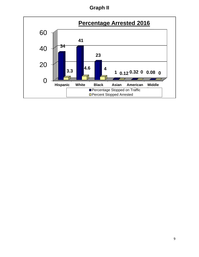**Graph II**

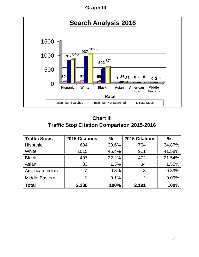# **Graph III**



# **Chart III Traffic Stop Citation Comparison 2015-2016**

| <b>Traffic Stops</b>  | <b>2015 Citations</b> | $\frac{0}{0}$ | <b>2016 Citations</b> | $\%$   |
|-----------------------|-----------------------|---------------|-----------------------|--------|
| Hispanic              | 684                   | 30.6%         | 764                   | 34.87% |
| White                 | 1015                  | 45.4%         | 911                   | 41.58% |
| <b>Black</b>          | 497                   | 22.2%         | 472                   | 21.54% |
| Asian                 | 33                    | 1.5%          | 34                    | 1.55%  |
| American Indian       | 7                     | 0.3%          | 8                     | 0.39%  |
| <b>Middle Eastern</b> | $\mathcal{P}$         | 0.1%          | $\mathcal{P}$         | 0.09%  |
| <b>Total</b>          | 2,238                 | 100%          | 2,191                 | 100%   |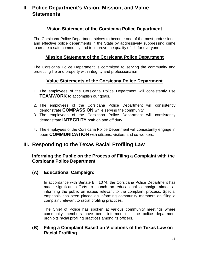# **II. Police Department's Vision, Mission, and Value Statements**

## **Vision Statement of the Corsicana Police Department**

The Corsicana Police Department strives to become one of the most professional and effective police departments in the State by aggressively suppressing crime to create a safe community and to improve the quality of life for everyone.

#### **Mission Statement of the Corsicana Police Department**

The Corsicana Police Department is committed to serving the community and protecting life and property with integrity and professionalism.

#### **Value Statements of the Corsicana Police Department**

- 1. The employees of the Corsicana Police Department will consistently use **TEAMWORK** to accomplish our goals.
- 2. The employees of the Corsicana Police Department will consistently demonstrate **COMPASSION** while serving the community
- 3. The employees of the Corsicana Police Department will consistently demonstrate **INTEGRITY** both on and off duty
- 4. The employees of the Corsicana Police Department will consistently engage in open **COMMUNICATION** with citizens, visitors and co-workers.

# **III. Responding to the Texas Racial Profiling Law**

#### **Informing the Public on the Process of Filing a Complaint with the Corsicana Police Department**

#### **(A) Educational Campaign:**

In accordance with Senate Bill 1074, the Corsicana Police Department has made significant efforts to launch an educational campaign aimed at informing the public on issues relevant to the complaint process. Special emphasis has been placed on informing community members on filing a complaint relevant to racial profiling practices.

The Chief of Police has spoken at various community meetings where community members have been informed that the police department prohibits racial profiling practices among its officers.

#### **(B) Filing a Complaint Based on Violations of the Texas Law on Racial Profiling**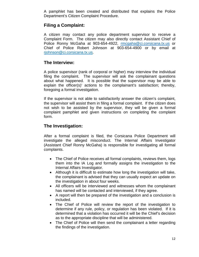A pamphlet has been created and distributed that explains the Police Department's Citizen Complaint Procedure.

## **Filing a Complaint:**

A citizen may contact any police department supervisor to receive a Complaint Form. The citizen may also directly contact Assistant Chief of Police Ronny McGaha at 903-654-4922, [rmcgaha@ci.corsicana.tx.us](mailto:rmcgaha@ci.corsicana.tx.us) or Chief of Police Robert Johnson at 903-654-4900 or by email at rjohnson@ci.corsicana.tx.us.

#### **The Interview:**

A police supervisor (rank of corporal or higher) may interview the individual filing the complaint. The supervisor will ask the complainant questions about what happened. It is possible that the supervisor may be able to explain the officer(s)' actions to the complainant's satisfaction; thereby, foregoing a formal investigation.

If the supervisor is not able to satisfactorily answer the citizen's complaint, the supervisor will assist them in filing a formal complaint. If the citizen does not wish to be assisted by the supervisor, they will be given a formal complaint pamphlet and given instructions on completing the complaint form.

#### **The Investigation:**

After a formal complaint is filed, the Corsicana Police Department will investigate the alleged misconduct. The Internal Affairs Investigator (Assistant Chief Ronny McGaha) is responsible for investigating all formal complaints.

- The Chief of Police receives all formal complaints, reviews them, logs them into the IA Log and formally assigns the investigation to the Internal Affairs Investigator.
- Although it is difficult to estimate how long the investigation will take, the complainant is advised that they can usually expect an update on the investigation in about four weeks.
- All officers will be interviewed and witnesses whom the complainant has named will be contacted and interviewed, if they agree.
- A report will then be prepared of the investigation and a conclusion is included.
- The Chief of Police will review the report of the investigation to determine if any rule, policy, or regulation has been violated. If it is determined that a violation has occurred it will be the Chief's decision as to the appropriate discipline that will be administered.
- The Chief of Police will then send the complainant a letter regarding the findings of the investigation.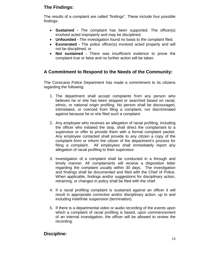# **The Findings:**

The results of a complaint are called "findings". These include four possible findings:

- **Sustained -** The complaint has been supported: The officer(s) involved acted improperly and may be disciplined.
- **Unfounded -** The investigation found no basis to the complaint filed.
- **Exonerated -** The police officer(s) involved acted properly and will not be disciplined; or
- **Not sustained -** There was insufficient evidence to prove the complaint true or false and no further action will be taken.

# **A Commitment to Respond to the Needs of the Community:**

The Corsicana Police Department has made a commitment to its citizens regarding the following:

- 1. The department shall accept complaints from any person who believes he or she has been stopped or searched based on racial, ethnic, or national origin profiling. No person shall be discouraged, intimidated, or coerced from filing a complaint, nor discriminated against because he or she filed such a complaint.
- 2. Any employee who receives an allegation of racial profiling, including the officer who initiated the stop, shall direct the complainant to a supervisor or offer to provide them with a formal complaint packet. Any employee contacted shall provide to any citizen a copy of the complaint form or inform the citizen of the department's process for filing a complaint. All employees shall immediately report any allegation of racial profiling to their supervisor.
- 3. Investigation of a complaint shall be conducted in a through and timely manner. All complainants will receive a disposition letter regarding the complaint usually within 30 days. The investigation and findings shall be documented and filed with the Chief of Police. When applicable, findings and/or suggestions for disciplinary action, retraining, or changes in policy shall be filed with the chief.
- 4. If a racial profiling complaint is sustained against an officer it will result in appropriate corrective and/or disciplinary action, up to and including indefinite suspension (termination).
- 5. If there is a departmental video or audio recording of the events upon which a complaint of racial profiling is based, upon commencement of an internal investigation, the officer will be allowed to review the recording.

#### **Discipline:**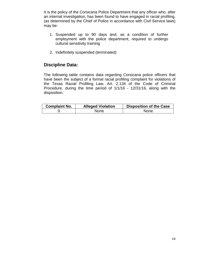It is the policy of the Corsicana Police Department that any officer who, after an internal investigation, has been found to have engaged in racial profiling, (as determined by the Chief of Police in accordance with Civil Service laws) may be:

- 1. Suspended up to 90 days and, as a condition of further employment with the police department, required to undergo cultural sensitivity training
- 2. Indefinitely suspended (terminated)

## **Discipline Data:**

The following table contains data regarding Corsicana police officers that have been the subject of a formal racial profiling complaint for violations of the Texas Racial Profiling Law, Art. 2.134 of the Code of Criminal Procedure, during the time period of 1/1/16 - 12/31/16, along with the disposition.

| <b>Complaint No.</b> | <b>Alleged Violation</b> | <b>Disposition of the Case</b> |
|----------------------|--------------------------|--------------------------------|
|                      | <b>None</b>              | <b>None</b>                    |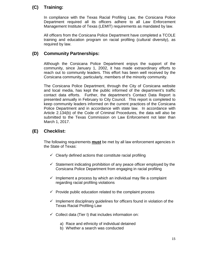# **(C) Training:**

In compliance with the Texas Racial Profiling Law, the Corsicana Police Department required all its officers adhere to all Law Enforcement Management Institute of Texas (LEMIT) requirements as mandated by law.

All officers from the Corsicana Police Department have completed a TCOLE training and education program on racial profiling (cultural diversity), as required by law.

## **(D) Community Partnerships:**

Although the Corsicana Police Department enjoys the support of the community, since January 1, 2002, it has made extraordinary efforts to reach out to community leaders. This effort has been well received by the Corsicana community, particularly, members of the minority community.

The Corsicana Police Department, through the City of Corsicana website and local media, has kept the public informed of the department's traffic contact data efforts. Further, the department's Contact Data Report is presented annually in February to City Council. This report is completed to keep community leaders informed on the current practices of the Corsicana Police Department and in accordance with state law. In accordance with Article 2.134(b) of the Code of Criminal Procedures, the data will also be submitted to the Texas Commission on Law Enforcement not later than March 1, 2017.

# **(E) Checklist:**

The following requirements **must** be met by all law enforcement agencies in the State of Texas:

- $\checkmark$  Clearly defined actions that constitute racial profiling
- $\checkmark$  Statement indicating prohibition of any peace officer employed by the Corsicana Police Department from engaging in racial profiling
- $\checkmark$  Implement a process by which an individual may file a complaint regarding racial profiling violations
- $\checkmark$  Provide public education related to the complaint process
- $\checkmark$  Implement disciplinary guidelines for officers found in violation of the Texas Racial Profiling Law
- $\checkmark$  Collect data (Tier I) that includes information on:
	- a) Race and ethnicity of individual detained
	- b) Whether a search was conducted